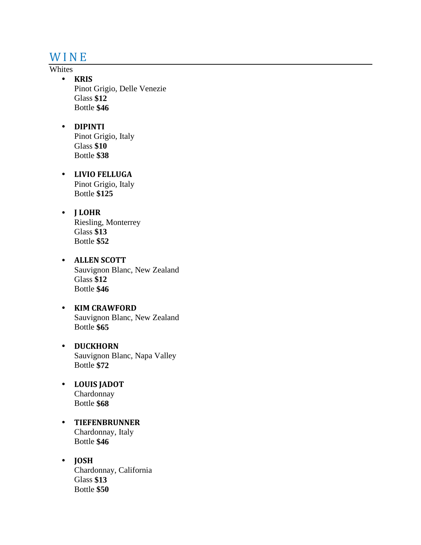## **WINE**

#### Whites

- **KRIS** Pinot Grigio, Delle Venezie Glass **\$12** Bottle **\$46**
- **DIPINTI** Pinot Grigio, Italy Glass **\$10** Bottle **\$38**
- **LIVIO FELLUGA** Pinot Grigio, Italy Bottle **\$125**
- **J LOHR** Riesling, Monterrey Glass **\$13** Bottle **\$52**
- **ALLEN SCOTT** Sauvignon Blanc, New Zealand Glass **\$12** Bottle **\$46**
- **KIM CRAWFORD** Sauvignon Blanc, New Zealand Bottle **\$65**
- **DUCKHORN** Sauvignon Blanc, Napa Valley Bottle **\$72**
- **LOUIS JADOT** Chardonnay Bottle **\$68**
- **TIEFENBRUNNER** Chardonnay, Italy Bottle **\$46**
- **JOSH** Chardonnay, California Glass **\$13** Bottle **\$50**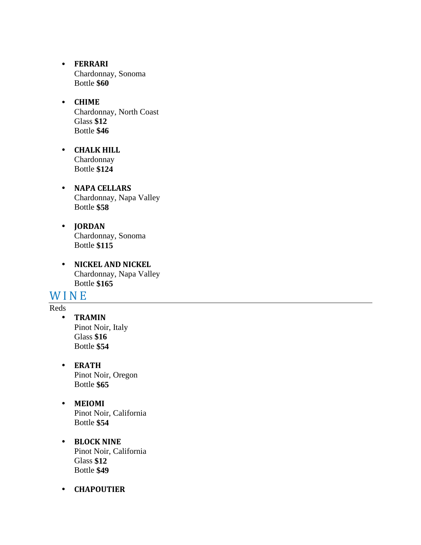- **FERRARI** Chardonnay, Sonoma Bottle **\$60**
- **CHIME** Chardonnay, North Coast Glass **\$12** Bottle **\$46**
- **CHALK HILL** Chardonnay Bottle **\$124**
- **NAPA CELLARS** Chardonnay, Napa Valley Bottle **\$58**
- **JORDAN** Chardonnay, Sonoma Bottle **\$115**
- **NICKEL AND NICKEL** Chardonnay, Napa Valley Bottle **\$165**

### **WINE**

- Reds
	- **TRAMIN** Pinot Noir, Italy Glass **\$16** Bottle **\$54**
	- **ERATH** Pinot Noir, Oregon Bottle **\$65**
	- **MEIOMI** Pinot Noir, California Bottle **\$54**
	- **BLOCK NINE** Pinot Noir, California Glass **\$12** Bottle **\$49**
	- **CHAPOUTIER**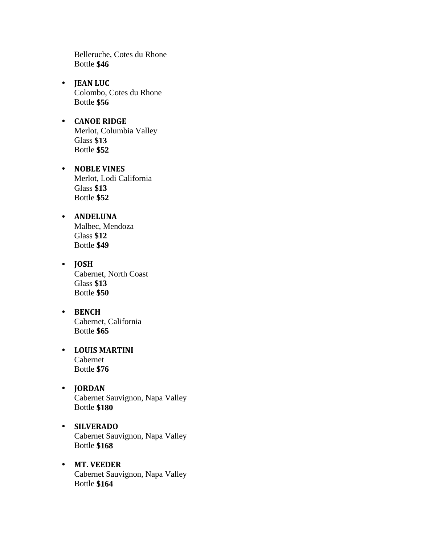Belleruche, Cotes du Rhone Bottle **\$46**

- **JEAN LUC** Colombo, Cotes du Rhone Bottle **\$56**
- **CANOE RIDGE** Merlot, Columbia Valley Glass **\$13** Bottle **\$52**
- **NOBLE VINES** Merlot, Lodi California Glass **\$13** Bottle **\$52**
- **ANDELUNA** Malbec, Mendoza Glass **\$12** Bottle **\$49**
- **JOSH** Cabernet, North Coast Glass **\$13** Bottle **\$50**
- **BENCH** Cabernet, California Bottle **\$65**
- **LOUIS MARTINI** Cabernet Bottle **\$76**
- **JORDAN** Cabernet Sauvignon, Napa Valley Bottle **\$180**
- **SILVERADO** Cabernet Sauvignon, Napa Valley Bottle **\$168**
- **MT. VEEDER** Cabernet Sauvignon, Napa Valley Bottle **\$164**